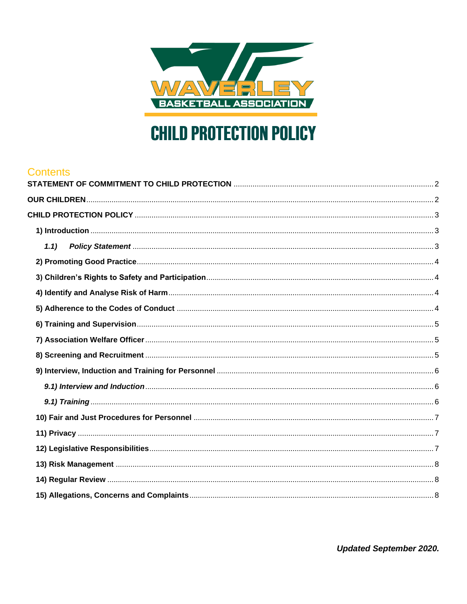

# **CHILD PROTECTION POLICY**

#### **Contents**

| 1.1) |  |
|------|--|
|      |  |
|      |  |
|      |  |
|      |  |
|      |  |
|      |  |
|      |  |
|      |  |
|      |  |
|      |  |
|      |  |
|      |  |
|      |  |
|      |  |
|      |  |
|      |  |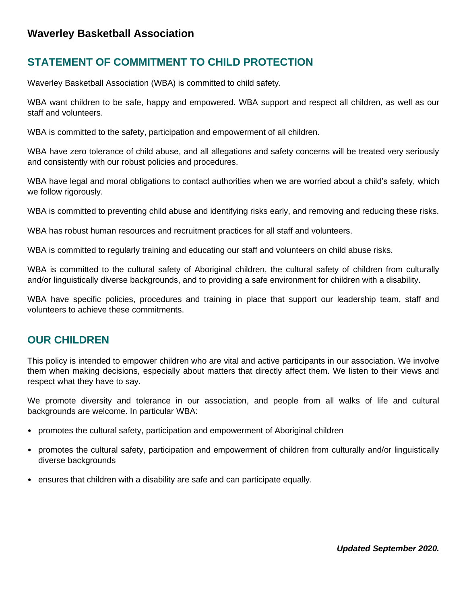#### **Waverley Basketball Association**

# <span id="page-1-0"></span>**STATEMENT OF COMMITMENT TO CHILD PROTECTION**

Waverley Basketball Association (WBA) is committed to child safety.

WBA want children to be safe, happy and empowered. WBA support and respect all children, as well as our staff and volunteers.

WBA is committed to the safety, participation and empowerment of all children.

WBA have zero tolerance of child abuse, and all allegations and safety concerns will be treated very seriously and consistently with our robust policies and procedures.

WBA have legal and moral obligations to contact authorities when we are worried about a child's safety, which we follow rigorously.

WBA is committed to preventing child abuse and identifying risks early, and removing and reducing these risks.

WBA has robust human resources and recruitment practices for all staff and volunteers.

WBA is committed to regularly training and educating our staff and volunteers on child abuse risks.

WBA is committed to the cultural safety of Aboriginal children, the cultural safety of children from culturally and/or linguistically diverse backgrounds, and to providing a safe environment for children with a disability.

WBA have specific policies, procedures and training in place that support our leadership team, staff and volunteers to achieve these commitments.

#### <span id="page-1-1"></span>**OUR CHILDREN**

This policy is intended to empower children who are vital and active participants in our association. We involve them when making decisions, especially about matters that directly affect them. We listen to their views and respect what they have to say.

We promote diversity and tolerance in our association, and people from all walks of life and cultural backgrounds are welcome. In particular WBA:

- promotes the cultural safety, participation and empowerment of Aboriginal children
- promotes the cultural safety, participation and empowerment of children from culturally and/or linguistically diverse backgrounds
- ensures that children with a disability are safe and can participate equally.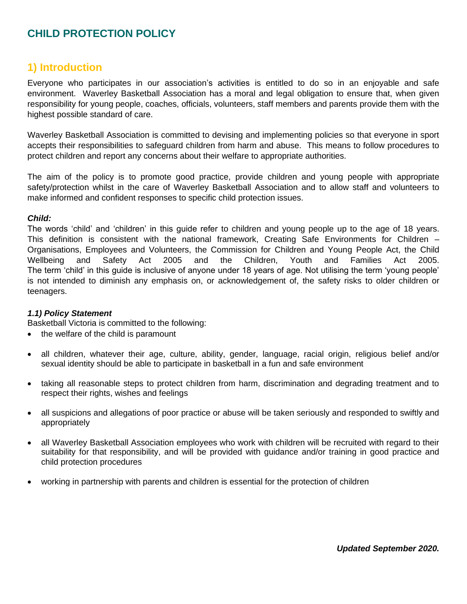# <span id="page-2-0"></span>**CHILD PROTECTION POLICY**

#### <span id="page-2-1"></span>**1) Introduction**

Everyone who participates in our association's activities is entitled to do so in an enjoyable and safe environment. Waverley Basketball Association has a moral and legal obligation to ensure that, when given responsibility for young people, coaches, officials, volunteers, staff members and parents provide them with the highest possible standard of care.

Waverley Basketball Association is committed to devising and implementing policies so that everyone in sport accepts their responsibilities to safeguard children from harm and abuse. This means to follow procedures to protect children and report any concerns about their welfare to appropriate authorities.

The aim of the policy is to promote good practice, provide children and young people with appropriate safety/protection whilst in the care of Waverley Basketball Association and to allow staff and volunteers to make informed and confident responses to specific child protection issues.

#### *Child:*

The words 'child' and 'children' in this guide refer to children and young people up to the age of 18 years. This definition is consistent with the national framework, Creating Safe Environments for Children – Organisations, Employees and Volunteers, the Commission for Children and Young People Act, the Child Wellbeing and Safety Act 2005 and the Children, Youth and Families Act 2005. The term 'child' in this guide is inclusive of anyone under 18 years of age. Not utilising the term 'young people' is not intended to diminish any emphasis on, or acknowledgement of, the safety risks to older children or teenagers.

#### <span id="page-2-2"></span>*1.1) Policy Statement*

Basketball Victoria is committed to the following:

- the welfare of the child is paramount
- all children, whatever their age, culture, ability, gender, language, racial origin, religious belief and/or sexual identity should be able to participate in basketball in a fun and safe environment
- taking all reasonable steps to protect children from harm, discrimination and degrading treatment and to respect their rights, wishes and feelings
- all suspicions and allegations of poor practice or abuse will be taken seriously and responded to swiftly and appropriately
- all Waverley Basketball Association employees who work with children will be recruited with regard to their suitability for that responsibility, and will be provided with guidance and/or training in good practice and child protection procedures
- working in partnership with parents and children is essential for the protection of children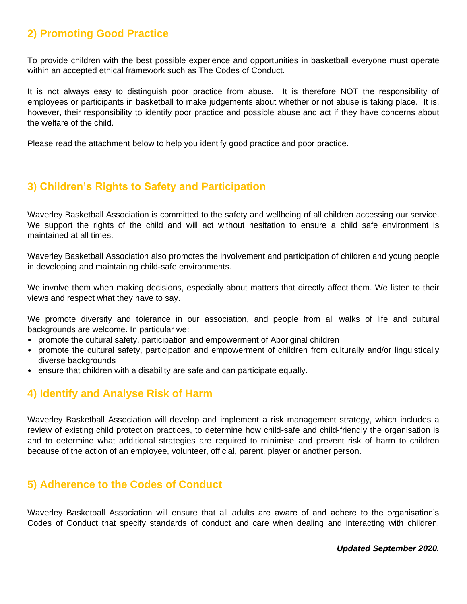# <span id="page-3-0"></span>**2) Promoting Good Practice**

To provide children with the best possible experience and opportunities in basketball everyone must operate within an accepted ethical framework such as The Codes of Conduct.

It is not always easy to distinguish poor practice from abuse. It is therefore NOT the responsibility of employees or participants in basketball to make judgements about whether or not abuse is taking place. It is, however, their responsibility to identify poor practice and possible abuse and act if they have concerns about the welfare of the child.

Please read the attachment below to help you identify good practice and poor practice.

# <span id="page-3-1"></span>**3) Children's Rights to Safety and Participation**

Waverley Basketball Association is committed to the safety and wellbeing of all children accessing our service. We support the rights of the child and will act without hesitation to ensure a child safe environment is maintained at all times.

Waverley Basketball Association also promotes the involvement and participation of children and young people in developing and maintaining child-safe environments.

We involve them when making decisions, especially about matters that directly affect them. We listen to their views and respect what they have to say.

We promote diversity and tolerance in our association, and people from all walks of life and cultural backgrounds are welcome. In particular we:

- promote the cultural safety, participation and empowerment of Aboriginal children
- promote the cultural safety, participation and empowerment of children from culturally and/or linguistically diverse backgrounds
- ensure that children with a disability are safe and can participate equally.

#### <span id="page-3-2"></span>**4) Identify and Analyse Risk of Harm**

Waverley Basketball Association will develop and implement a risk management strategy, which includes a review of existing child protection practices, to determine how child-safe and child-friendly the organisation is and to determine what additional strategies are required to minimise and prevent risk of harm to children because of the action of an employee, volunteer, official, parent, player or another person.

## <span id="page-3-3"></span>**5) Adherence to the Codes of Conduct**

Waverley Basketball Association will ensure that all adults are aware of and adhere to the organisation's Codes of Conduct that specify standards of conduct and care when dealing and interacting with children,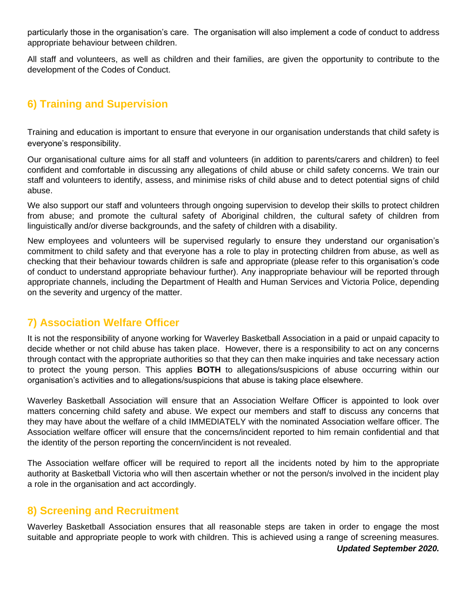particularly those in the organisation's care. The organisation will also implement a code of conduct to address appropriate behaviour between children.

All staff and volunteers, as well as children and their families, are given the opportunity to contribute to the development of the Codes of Conduct.

# <span id="page-4-0"></span>**6) Training and Supervision**

Training and education is important to ensure that everyone in our organisation understands that child safety is everyone's responsibility.

Our organisational culture aims for all staff and volunteers (in addition to parents/carers and children) to feel confident and comfortable in discussing any allegations of child abuse or child safety concerns. We train our staff and volunteers to identify, assess, and minimise risks of child abuse and to detect potential signs of child abuse.

We also support our staff and volunteers through ongoing supervision to develop their skills to protect children from abuse; and promote the cultural safety of Aboriginal children, the cultural safety of children from linguistically and/or diverse backgrounds, and the safety of children with a disability.

New employees and volunteers will be supervised regularly to ensure they understand our organisation's commitment to child safety and that everyone has a role to play in protecting children from abuse, as well as checking that their behaviour towards children is safe and appropriate (please refer to this organisation's code of conduct to understand appropriate behaviour further). Any inappropriate behaviour will be reported through appropriate channels, including the Department of Health and Human Services and Victoria Police, depending on the severity and urgency of the matter.

## <span id="page-4-1"></span>**7) Association Welfare Officer**

It is not the responsibility of anyone working for Waverley Basketball Association in a paid or unpaid capacity to decide whether or not child abuse has taken place. However, there is a responsibility to act on any concerns through contact with the appropriate authorities so that they can then make inquiries and take necessary action to protect the young person. This applies **BOTH** to allegations/suspicions of abuse occurring within our organisation's activities and to allegations/suspicions that abuse is taking place elsewhere.

Waverley Basketball Association will ensure that an Association Welfare Officer is appointed to look over matters concerning child safety and abuse. We expect our members and staff to discuss any concerns that they may have about the welfare of a child IMMEDIATELY with the nominated Association welfare officer. The Association welfare officer will ensure that the concerns/incident reported to him remain confidential and that the identity of the person reporting the concern/incident is not revealed.

The Association welfare officer will be required to report all the incidents noted by him to the appropriate authority at Basketball Victoria who will then ascertain whether or not the person/s involved in the incident play a role in the organisation and act accordingly.

## <span id="page-4-2"></span>**8) Screening and Recruitment**

Waverley Basketball Association ensures that all reasonable steps are taken in order to engage the most suitable and appropriate people to work with children. This is achieved using a range of screening measures.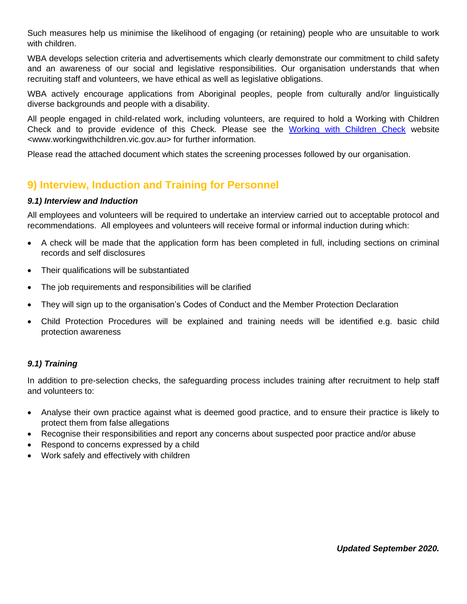Such measures help us minimise the likelihood of engaging (or retaining) people who are unsuitable to work with children.

WBA develops selection criteria and advertisements which clearly demonstrate our commitment to child safety and an awareness of our social and legislative responsibilities. Our organisation understands that when recruiting staff and volunteers, we have ethical as well as legislative obligations.

WBA actively encourage applications from Aboriginal peoples, people from culturally and/or linguistically diverse backgrounds and people with a disability.

All people engaged in child-related work, including volunteers, are required to hold a Working with Children Check and to provide evidence of this Check. Please see the [Working with Children Check](http://www.workingwithchildren.vic.gov.au/) website <www.workingwithchildren.vic.gov.au> for further information.

Please read the attached document which states the screening processes followed by our organisation.

# <span id="page-5-0"></span>**9) Interview, Induction and Training for Personnel**

#### <span id="page-5-1"></span>*9.1) Interview and Induction*

All employees and volunteers will be required to undertake an interview carried out to acceptable protocol and recommendations. All employees and volunteers will receive formal or informal induction during which:

- A check will be made that the application form has been completed in full, including sections on criminal records and self disclosures
- Their qualifications will be substantiated
- The job requirements and responsibilities will be clarified
- They will sign up to the organisation's Codes of Conduct and the Member Protection Declaration
- Child Protection Procedures will be explained and training needs will be identified e.g. basic child protection awareness

#### <span id="page-5-2"></span>*9.1) Training*

In addition to pre-selection checks, the safeguarding process includes training after recruitment to help staff and volunteers to:

- Analyse their own practice against what is deemed good practice, and to ensure their practice is likely to protect them from false allegations
- Recognise their responsibilities and report any concerns about suspected poor practice and/or abuse
- Respond to concerns expressed by a child
- Work safely and effectively with children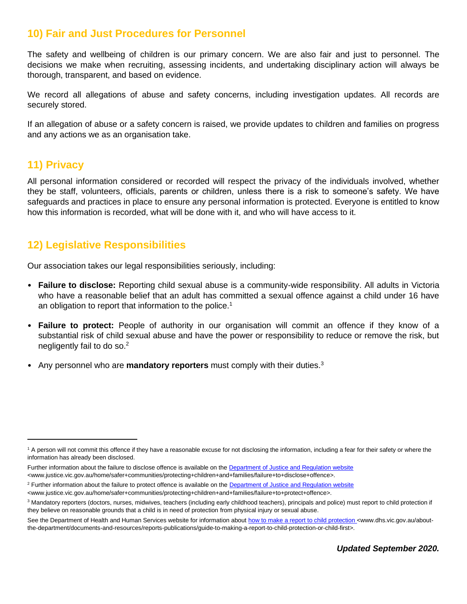## <span id="page-6-0"></span>**10) Fair and Just Procedures for Personnel**

The safety and wellbeing of children is our primary concern. We are also fair and just to personnel. The decisions we make when recruiting, assessing incidents, and undertaking disciplinary action will always be thorough, transparent, and based on evidence.

We record all allegations of abuse and safety concerns, including investigation updates. All records are securely stored.

If an allegation of abuse or a safety concern is raised, we provide updates to children and families on progress and any actions we as an organisation take.

## <span id="page-6-1"></span>**11) Privacy**

All personal information considered or recorded will respect the privacy of the individuals involved, whether they be staff, volunteers, officials, parents or children, unless there is a risk to someone's safety. We have safeguards and practices in place to ensure any personal information is protected. Everyone is entitled to know how this information is recorded, what will be done with it, and who will have access to it.

# <span id="page-6-2"></span>**12) Legislative Responsibilities**

Our association takes our legal responsibilities seriously, including:

- **Failure to disclose:** Reporting child sexual abuse is a community-wide responsibility. All adults in Victoria who have a reasonable belief that an adult has committed a sexual offence against a child under 16 have an obligation to report that information to the police.<sup>1</sup>
- **Failure to protect:** People of authority in our organisation will commit an offence if they know of a substantial risk of child sexual abuse and have the power or responsibility to reduce or remove the risk, but negligently fail to do so. $2$
- Any personnel who are **mandatory reporters** must comply with their duties.<sup>3</sup>

<sup>&</sup>lt;sup>1</sup> A person will not commit this offence if they have a reasonable excuse for not disclosing the information, including a fear for their safety or where the information has already been disclosed.

Further information about the failure to disclose offence is available on the [Department of Justice and Regulation website](http://www.justice.vic.gov.au/home/safer+communities/protecting+children+and+families/failure+to+disclose+offence) <www.justice.vic.gov.au/home/safer+communities/protecting+children+and+families/failure+to+disclose+offence>.

<sup>&</sup>lt;sup>2</sup> Further information about the failure to protect offence is available on the [Department of Justice and Regulation website](http://www.justice.vic.gov.au/home/safer+communities/protecting+children+and+families/failure+to+protect+offence)

<sup>&</sup>lt;www.justice.vic.gov.au/home/safer+communities/protecting+children+and+families/failure+to+protect+offence>.

<sup>&</sup>lt;sup>3</sup> Mandatory reporters (doctors, nurses, midwives, teachers (including early childhood teachers), principals and police) must report to child protection if they believe on reasonable grounds that a child is in need of protection from physical injury or sexual abuse.

See the Department of Health and Human Services website for information abou[t how to make a report to child protection](http://www.dhs.vic.gov.au/about-the-department/documents-and-resources/reports-publications/guide-to-making-a-report-to-child-protection-or-child-first) <www.dhs.vic.gov.au/aboutthe-department/documents-and-resources/reports-publications/guide-to-making-a-report-to-child-protection-or-child-first>.